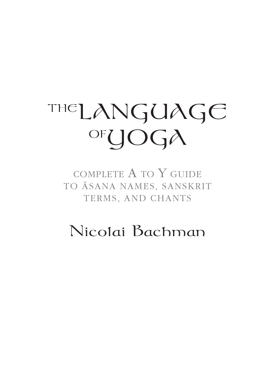# THE LANGUAGE OFUOGA

COMPLETE A TO Y GUIDE TO ÄSANA NAMES, SANSKRIT TERMS, AND CHANTS

# Nicolai Bachman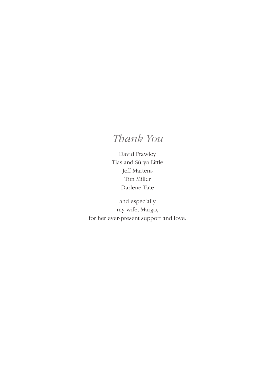### *Thank You*

David Frawley Tias and Sârya Little Jeff Martens Tim Miller Darlene Tate

and especially my wife, Margo, for her ever-present support and love.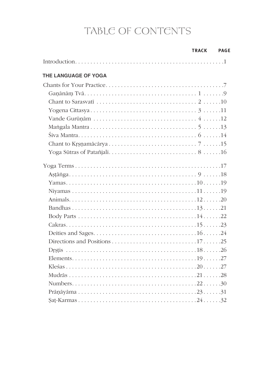# TABLE OF CONTENTS

|                      | <b>TRACK</b> | <b>PAGE</b> |
|----------------------|--------------|-------------|
|                      |              |             |
| THE LANGUAGE OF YOGA |              |             |
|                      |              |             |
|                      |              |             |
|                      |              |             |
|                      |              |             |
|                      |              |             |
|                      |              |             |
|                      |              |             |
|                      |              |             |
|                      |              |             |
|                      |              |             |
|                      |              |             |
|                      |              |             |
|                      |              |             |
|                      |              |             |
|                      |              |             |
|                      |              |             |
|                      |              |             |
|                      |              |             |
|                      |              |             |
|                      |              |             |
|                      |              |             |
|                      |              |             |
|                      |              |             |
|                      |              |             |
|                      |              |             |
|                      |              |             |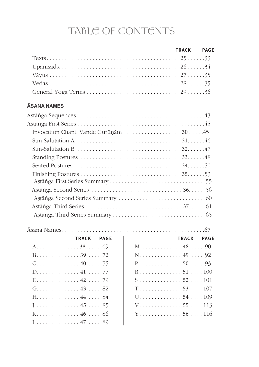## TABLE OF CONTENTS

|                                               | <b>TRACK</b><br><b>PAGE</b>                          |
|-----------------------------------------------|------------------------------------------------------|
|                                               |                                                      |
|                                               |                                                      |
|                                               |                                                      |
|                                               |                                                      |
|                                               |                                                      |
| <b>ĀSANA NAMES</b>                            |                                                      |
|                                               |                                                      |
|                                               |                                                      |
|                                               |                                                      |
|                                               |                                                      |
|                                               |                                                      |
|                                               |                                                      |
|                                               |                                                      |
|                                               |                                                      |
|                                               |                                                      |
|                                               |                                                      |
|                                               |                                                      |
|                                               |                                                      |
|                                               |                                                      |
|                                               |                                                      |
| TRACK PAGE                                    | <b>TRACK</b><br><b>PAGE</b>                          |
|                                               | M 48 90                                              |
| B. 39 72                                      | N. 49 92                                             |
| $C_{1}, \ldots, C_{n}$                        |                                                      |
| D. 41 77                                      | R. 51 100                                            |
| E 42  79                                      |                                                      |
| G. 43 82                                      | $T \ldots \ldots \ldots \ldots \ldots 53 \ldots 107$ |
|                                               | U. 54 109                                            |
| $J \dots \dots \dots \dots \dots 45 \dots 85$ | $V_{1}, \ldots, V_{n}, \ldots, V_{n}$ 55  113        |
| K. 46 86                                      | $Y_{1}, \ldots, Y_{n}, \ldots, Y_{n}$ 56  116        |
| L 47  89                                      |                                                      |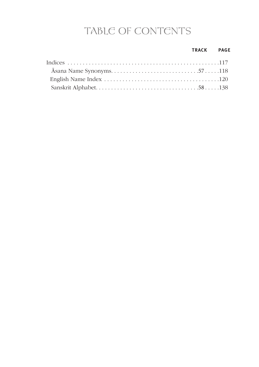### TABLE OF CONTENTS

#### **TRACK PAGE**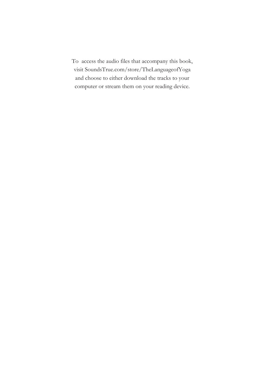To access the audio files that accompany this book, visit SoundsTrue.com/store/TheLanguageofYoga and choose to either download the tracks to your computer or stream them on your reading device.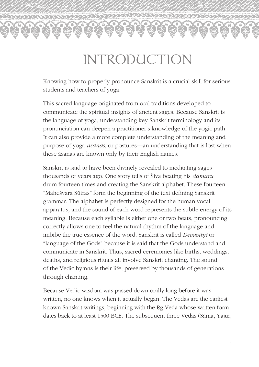# INTRODUCTION

Knowing how to properly pronounce Sanskrit is a crucial skill for serious students and teachers of yoga.

This sacred language originated from oral traditions developed to communicate the spiritual insights of ancient sages. Because Sanskrit is the language of yoga, understanding key Sanskrit terminology and its pronunciation can deepen a practitioner's knowledge of the yogic path. It can also provide a more complete understanding of the meaning and purpose of yoga *Åsanas*, or postures—an understanding that is lost when these asanas are known only by their English names.

Sanskrit is said to have been divinely revealed to meditating sages thousands of years ago. One story tells of Siva beating his *damaru* drum fourteen times and creating the Sanskrit alphabet. These fourteen "Mahesvara Sūtras" form the beginning of the text defining Sanskrit grammar. The alphabet is perfectly designed for the human vocal apparatus, and the sound of each word represents the subtle energy of its meaning. Because each syllable is either one or two beats, pronouncing correctly allows one to feel the natural rhythm of the language and imbibe the true essence of the word. Sanskrit is called *Devavāni* or "language of the Gods" because it is said that the Gods understand and communicate in Sanskrit. Thus, sacred ceremonies like births, weddings, deaths, and religious rituals all involve Sanskrit chanting. The sound of the Vedic hymns is their life, preserved by thousands of generations through chanting.

Because Vedic wisdom was passed down orally long before it was written, no one knows when it actually began. The Vedas are the earliest known Sanskrit writings, beginning with the Rg Veda whose written form dates back to at least 1500 BCE. The subsequent three Vedas (Sāma, Yajur,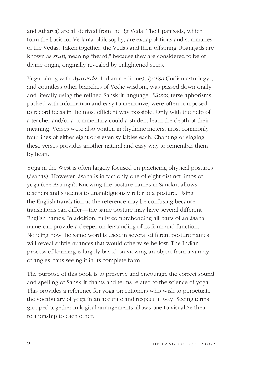and Atharva) are all derived from the Rg Veda. The Upanisads, which form the basis for Vedānta philosophy, are extrapolations and summaries of the Vedas. Taken together, the Vedas and their offspring Upanisads are known as *sruti,* meaning "heard," because they are considered to be of divine origin, originally revealed by enlightened seers.

Yoga, along with *Ayurveda* (Indian medicine), *Jyotişa* (Indian astrology), and countless other branches of Vedic wisdom, was passed down orally and literally using the refined Sanskrit language. *Sâtras,* terse aphorisms packed with information and easy to memorize, were often composed to record ideas in the most efficient way possible. Only with the help of a teacher and/or a commentary could a student learn the depth of their meaning. Verses were also written in rhythmic meters, most commonly four lines of either eight or eleven syllables each. Chanting or singing these verses provides another natural and easy way to remember them by heart.

Yoga in the West is often largely focused on practicing physical postures (asanas). However, asana is in fact only one of eight distinct limbs of yoga (see Astānga). Knowing the posture names in Sanskrit allows teachers and students to unambiguously refer to a posture. Using the English translation as the reference may be confusing because translations can differ—the same posture may have several different English names. In addition, fully comprehending all parts of an āsana name can provide a deeper understanding of its form and function. Noticing how the same word is used in several different posture names will reveal subtle nuances that would otherwise be lost. The Indian process of learning is largely based on viewing an object from a variety of angles, thus seeing it in its complete form.

The purpose of this book is to preserve and encourage the correct sound and spelling of Sanskrit chants and terms related to the science of yoga. This provides a reference for yoga practitioners who wish to perpetuate the vocabulary of yoga in an accurate and respectful way. Seeing terms grouped together in logical arrangements allows one to visualize their relationship to each other.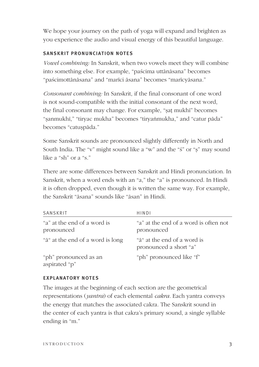We hope your journey on the path of yoga will expand and brighten as you experience the audio and visual energy of this beautiful language.

#### **SANSKRIT PRONUNCIATION NOTES**

*Vowel combining:* In Sanskrit, when two vowels meet they will combine into something else. For example, "paścima uttānāsana" becomes "pa±cimottÅnÅsana" and "mar≠ci Åsana" becomes "mar≠cyÅsana."

*Consonant combining:* In Sanskrit, if the final consonant of one word is not sound-compatible with the initial consonant of the next word, the final consonant may change. For example, "sat mukhī" becomes "sanmukhī," "tiryac mukha" becomes "tiryaṅmukha," and "catur pāda" becomes "catușpāda."

Some Sanskrit sounds are pronounced slightly differently in North and South India. The "v" might sound like a "w" and the " $\sin$ " or "s" may sound like a "sh" or a "s."

There are some differences between Sanskrit and Hindi pronunciation. In Sanskrit, when a word ends with an "a," the "a" is pronounced. In Hindi it is often dropped, even though it is written the same way. For example, the Sanskrit "åsana" sounds like "åsan" in Hindi.

| SANSKRIT                                  | HINDI                                                 |
|-------------------------------------------|-------------------------------------------------------|
| "a" at the end of a word is<br>pronounced | "a" at the end of a word is often not<br>pronounced   |
| "a" at the end of a word is long"         | "ā" at the end of a word is<br>pronounced a short "a" |
| "ph" pronounced as an<br>aspirated "p"    | "ph" pronounced like "f"                              |

#### **EXPL ANATORY NOTE S**

The images at the beginning of each section are the geometrical representations (*yantra*) of each elemental *cakra.* Each yantra conveys the energy that matches the associated cakra. The Sanskrit sound in the center of each yantra is that cakra's primary sound, a single syllable ending in "m."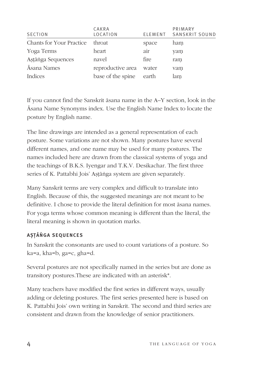| <b>SECTION</b>           | CAKRA<br>LOCATION | <b>ELEMENT</b> | PRIMARY<br>SANSKRIT SOUND |
|--------------------------|-------------------|----------------|---------------------------|
| Chants for Your Practice | throat            | space          | ham                       |
| Yoga Terms               | heart             | air            | yam                       |
| Așțănga Sequences        | navel             | fire           | ram                       |
| Asana Names              | reproductive area | water          | vam                       |
| Indices                  | base of the spine | earth          | lam                       |

If you cannot find the Sanskrit āsana name in the A–Y section, look in the Äsana Name Synonyms index. Use the English Name Index to locate the posture by English name.

The line drawings are intended as a general representation of each posture. Some variations are not shown. Many postures have several different names, and one name may be used for many postures. The names included here are drawn from the classical systems of yoga and the teachings of B.K.S. Iyengar and T.K.V. Desikachar. The first three series of K. Pattabhi Jois' Astānga system are given separately.

Many Sanskrit terms are very complex and difficult to translate into English. Because of this, the suggested meanings are not meant to be definitive. I chose to provide the literal definition for most āsana names. For yoga terms whose common meaning is different than the literal, the literal meaning is shown in quotation marks.

#### **AS. T. A - N · GA SEQUENCE S**

In Sanskrit the consonants are used to count variations of a posture. So ka=a, kha=b, ga=c, gha=d.

Several postures are not specifically named in the series but are done as transitory postures.These are indicated with an asterisk\*.

Many teachers have modified the first series in different ways, usually adding or deleting postures. The first series presented here is based on K. Pattabhi Jois' own writing in Sanskrit. The second and third series are consistent and drawn from the knowledge of senior practitioners.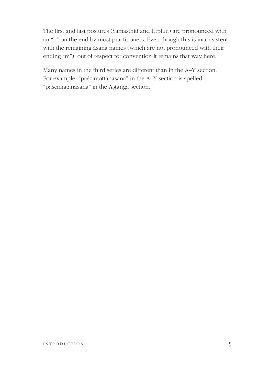The first and last postures (Samasthiti and Utpluti) are pronounced with an "h" on the end by most practitioners. Even though this is inconsistent with the remaining asana names (which are not pronounced with their ending "m"), out of respect for convention it remains that way here.

Many names in the third series are different than in the A–Y section. For example, "paścimottānāsana" in the A–Y section is spelled "paścimatānāsana" in the Astānga section.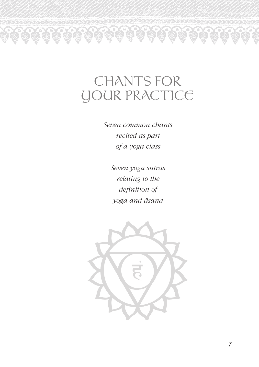# CHANTS FOR **YOUR PRACTICE**

*Seven common chants recited as part of a yoga class*

> *Seven yoga sâtras relating to the definition of yoga and Åsana*

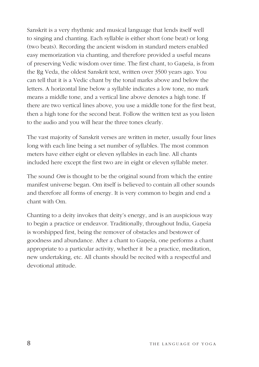Sanskrit is a very rhythmic and musical language that lends itself well to singing and chanting. Each syllable is either short (one beat) or long (two beats). Recording the ancient wisdom in standard meters enabled easy memorization via chanting, and therefore provided a useful means of preserving Vedic wisdom over time. The first chant, to Ganesa, is from the Rg Veda, the oldest Sanskrit text, written over 3500 years ago. You can tell that it is a Vedic chant by the tonal marks above and below the letters. A horizontal line below a syllable indicates a low tone, no mark means a middle tone, and a vertical line above denotes a high tone. If there are two vertical lines above, you use a middle tone for the first beat, then a high tone for the second beat. Follow the written text as you listen to the audio and you will hear the three tones clearly.

The vast majority of Sanskrit verses are written in meter, usually four lines long with each line being a set number of syllables. The most common meters have either eight or eleven syllables in each line. All chants included here except the first two are in eight or eleven syllable meter.

The sound *Om* is thought to be the original sound from which the entire manifest universe began. Om itself is believed to contain all other sounds and therefore all forms of energy. It is very common to begin and end a chant with Om.

Chanting to a deity invokes that deity's energy, and is an auspicious way to begin a practice or endeavor. Traditionally, throughout India, Ganesa is worshipped first, being the remover of obstacles and bestower of goodness and abundance. After a chant to Ganesa, one performs a chant appropriate to a particular activity, whether it be a practice, meditation, new undertaking, etc. All chants should be recited with a respectful and devotional attitude.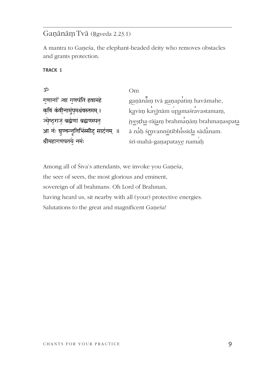#### Gaņānām Tvā (Rgveda 2.23.1)

A mantra to Ganeśa, the elephant-headed deity who removes obstacles and grants protection.

#### TRACK 1

| ಳು                                   | Om                                    |
|--------------------------------------|---------------------------------------|
| गुणानां त्वा गुणपतिं हवामहे          | gaṇānām tvā gaṇapatiṃ havāmahe,       |
| कृविं कंवी॒नामु॑प॒मश्र॑वस्तमम् ।     | kavim kavinām upamaśravastamam,       |
| ज्येष्ठुराजुं ब्रह्मणां ब्रह्मणस्पतु | jyestha-rājam brahmaņām brahmaņaspata |
| आ नंः शृण्वन्नूतिभिंस्सीदु सादंनम् ॥ | ā nah srņvannūtibhissīda sādanam.     |
| श्रीमहागणपतये नमंः                   | śrī-mahā-gaņapataye namaḥ             |

Among all of Śiva's attendants, we invoke you Ganeśa, the seer of seers, the most glorious and eminent, sovereign of all brahmans. Oh Lord of Brahman, having heard us, sit nearby with all (your) protective energies. Salutations to the great and magnificent Ganesa!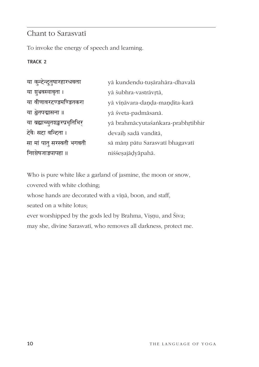#### Chant to Sarasvati

To invoke the energy of speech and learning.

#### TRACK<sub>2</sub>

| या कुन्देन्दुतुषारहारधवला       | yā kundendu-tuşārahāra-dhavalā     |
|---------------------------------|------------------------------------|
| या शुभ्रवस्त्रावृता ।           | yā śubhra-vastrāvŗtā,              |
| या वीणावरदण्डमण्डितकरा          | yā vīņāvara-daņda-maņdita-karā     |
| या श्वेतपद्मासना ॥              | yā śveta-padmāsanā.                |
| या ब्रह्माच्युतशङ्करप्रभृतिभिर् | yā brahmācyutaśankara-prabhrtibhir |
| देवैः सदा वन्दिता ।             | devaih sadā vanditā,               |
| सा मां पातु सरस्वती भगवती       | sā mām pātu Sarasvatī bhagavatī    |
| निश्शेषजाडयापहा ॥               | niśśesajādyāpahā.                  |
|                                 |                                    |

Who is pure white like a garland of jasmine, the moon or snow,

covered with white clothing;

whose hands are decorated with a viņā, boon, and staff,

seated on a white lotus;

ever worshipped by the gods led by Brahma, Vișnu, and Śiva;

may she, divine Sarasvati, who removes all darkness, protect me.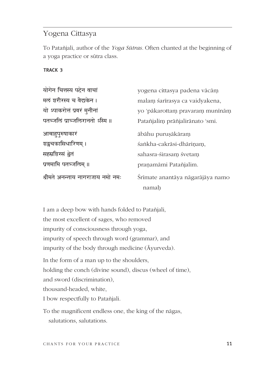#### Yogena Cittasya

To Patañjali, author of the Yoga Sūtras. Often chanted at the beginning of a yoga practice or sūtra class.

#### TRACK<sub>3</sub>

| योगेन चित्तस्य पदेन वाचां        | yogena cittasya padena vācām              |
|----------------------------------|-------------------------------------------|
| मलं शरीरस्य च वैद्यकेन।          | malam śarīrasya ca vaidyakena,            |
| यो ऽपाकरोत्तं प्रवरं मुनीनां     | yo 'pākarottam pravaram munīnām           |
| पतञ्जलिं प्राञ्जलिरानतो ऽस्मि ॥  | Patañjalim prāñjalirānato 'smi.           |
| आबाहुपुरुषाकारं                  | ābāhu puruşākāram                         |
| शङ्खचक्रासिधारिणम् ।             | śankha-cakrāsi-dhāriņam,                  |
| सहस्रशिरसं श्वेतं                | sahasra-śirasam śvetam                    |
| प्रणमामि पतञ्जलिम् ॥             | praņamāmi Patañjalim.                     |
| श्रीमते अनन्ताय नागराजाय नमो नमः | Śrīmate anantāya nāgarājāya namo<br>namah |

I am a deep bow with hands folded to Patañjali, the most excellent of sages, who removed impurity of consciousness through yoga, impurity of speech through word (grammar), and impurity of the body through medicine (Ayurveda). In the form of a man up to the shoulders, holding the conch (divine sound), discus (wheel of time), and sword (discrimination). thousand-headed, white, I bow respectfully to Patañjali. To the magnificent endless one, the king of the nāgas,

salutations, salutations.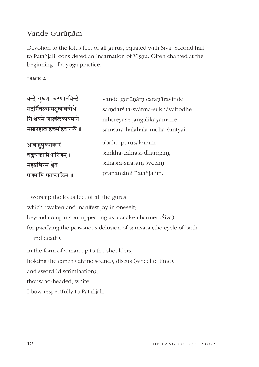#### Vande Gurūņām

Devotion to the lotus feet of all gurus, equated with Siva. Second half to Patañjali, considered an incarnation of Vișņu. Often chanted at the beginning of a yoga practice.

#### TRACK 4

| वन्दे गुरूणां चरणारविन्दे | vande gurūņām caraņāravinde    |
|---------------------------|--------------------------------|
| संदर्शितस्वात्मसुखावबोधे। | samdarśita-svātma-sukhāvabodhe |
| निःश्रेयसे जाङ्गलिकायमाने | niņśreyase jāṅgalikāyamāne     |
| संसारहालाहलमोहशान्त्यै ॥  | samsāra-hālāhala-moha-śāntyai. |
| आबाहुपुरुषाकारं           | ābāhu puruşākāram              |
|                           |                                |
| शङ्खचक्रासिधारिणम् ।      | śankha-cakrāsi-dhāriņam,       |
| सहस्रशिरसं श्वेतं         | sahasra-śirasam śvetam         |

I worship the lotus feet of all the gurus, which awaken and manifest joy in oneself; beyond comparison, appearing as a snake-charmer (Śiva) for pacifying the poisonous delusion of samsāra (the cycle of birth and death). In the form of a man up to the shoulders, holding the conch (divine sound), discus (wheel of time), and sword (discrimination).

thousand-headed, white,

I bow respectfully to Patañjali.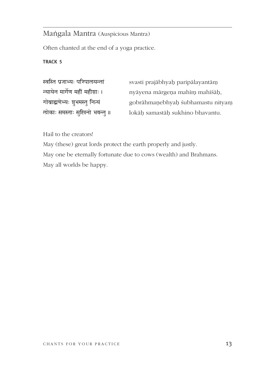#### Mangala Mantra (Auspicious Mantra)

Often chanted at the end of a yoga practice.

#### TRACK 5

स्वस्ति प्रजाभ्यः परिपालयन्तां न्यायेन मार्गेण महीं महीशाः । गोब्राह्मणेभ्यः शुभमस्तु नित्यं लोकाः समस्ताः सुखिनो भवन्तु ॥

svasti prajābhyaḥ paripālayantām nyāyena mārgeņa mahīm mahīśāḥ, gobrāhmaņebhyaḥ śubhamastu nityaṃ lokāḥ samastāḥ sukhino bhavantu.

Hail to the creators!

May (these) great lords protect the earth properly and justly. May one be eternally fortunate due to cows (wealth) and Brahmans. May all worlds be happy.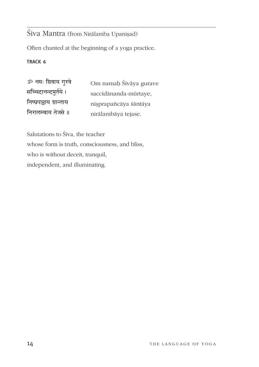## $\hat{\text{S}}$ iva Mantra (from Nirālamba Upanișad)

Often chanted at the beginning of a yoga practice.

#### TRACK 6

| ॐ नमः शिवाय गुरवे     | Om namah Śivāya gurave |
|-----------------------|------------------------|
| सच्चिदानन्दमूर्तये ।  | saccidānanda-mūrtaye,  |
| निष्प्रपञ्चाय शान्ताय | nisprapañcāya śāntāya  |
| निरालम्बाय तेजसे ॥    | nirālambāya tejase.    |

Salutations to Śiva, the teacher whose form is truth, consciousness, and bliss, who is without deceit, tranquil, independent, and illuminating.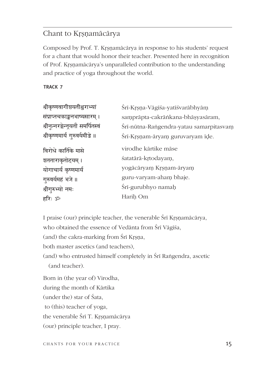#### Chant to Krsnamācārya

Composed by Prof. T. Krsnamācārya in response to his students' request for a chant that would honor their teacher. Presented here in recognition of Prof. Krsnamācārya's unparalleled contribution to the understanding and practice of yoga throughout the world.

**TRACK 7** 

| श्रीकृष्णवागीशयतीश्वराभ्यां         | Śrī-Kŗṣṇa-Vāgīśa-yatīśvarābhyāṃ         |
|-------------------------------------|-----------------------------------------|
| संप्राप्तचक्राङ्कनभाष्यसारम् ।      | samprāpta-cakrāṅkana-bhāṣyasāram,       |
| श्रीनूत्नरङ्गेन्द्र्यतौ समर्पितस्वं | Śrī-nūtna-Raṅgendra-yatau samarpitasvaṃ |
| श्रीकृष्णमार्यं गुरुवर्यमीडे ॥      | Śrī-Krsņam-āryam guruvaryam īde.        |
| विरोधे कार्तिके मासे                | virodhe kärtike mäse                    |
| शतताराकृतोदयम् ।                    | śatatārā-kŗtodayam,                     |
| योगाचार्यं कृष्णमार्यं              | yogācāryam Krsņam-āryam                 |
| गुरुवर्यमहं भजे ॥                   | guru-varyam-aham bhaje.                 |
| श्रीगुरुभ्यो नमः                    | Śrī-gurubhyo namaḥ                      |
| हरिः ॐ                              | Harih Om                                |

I praise (our) principle teacher, the venerable Śrī Krsņamācārya, who obtained the essence of Vedanta from Śrī Vāgīśa, (and) the cakra-marking from Srī Krsņa, both master ascetics (and teachers). (and) who entrusted himself completely in Srī Rangendra, ascetic (and teacher). Born in (the year of) Virodha, during the month of Kārtika (under the) star of Śata. to (this) teacher of yoga, the venerable Śrī T. Krsnamācārya (our) principle teacher, I pray.